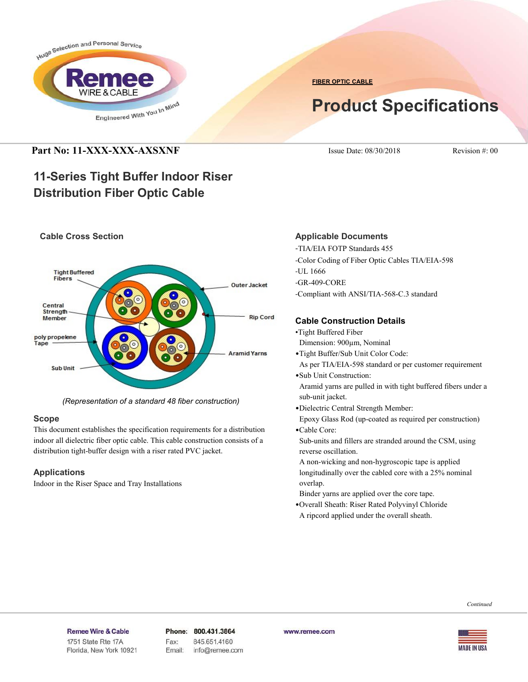

**FIBER OPTIC CABLE**

# **Product Specifications**

# **Part No: 11-XXX-XXX-AXSXNF** ISSUE Date: 08/30/2018 Revision #: 00

# **11-Series Tight Buffer Indoor Riser Distribution Fiber Optic Cable**

# **Cable Cross Section**



*(Representation of a standard 48 fiber construction)*

# **Scope**

This document establishes the specification requirements for a distribution indoor all dielectric fiber optic cable. This cable construction consists of a distribution tight-buffer design with a riser rated PVC jacket.

# **Applications**

Indoor in the Riser Space and Tray Installations

# **Applicable Documents**

-TIA/EIA FOTP Standards 455

- -Color Coding of Fiber Optic Cables TIA/EIA-598
- -UL 1666
- -GR-409-CORE
- -Compliant with ANSI/TIA-568-C.3 standard

# **Cable Construction Details**

- •Tight Buffered Fiber
- Dimension: 900µm, Nominal
- •Tight Buffer/Sub Unit Color Code:
- As per TIA/EIA-598 standard or per customer requirement
- •Sub Unit Construction:

 Aramid yarns are pulled in with tight buffered fibers under a sub-unit jacket.

- •Dielectric Central Strength Member:
- Epoxy Glass Rod (up-coated as required per construction)
- •Cable Core:

 Sub-units and fillers are stranded around the CSM, using reverse oscillation.

- A non-wicking and non-hygroscopic tape is applied longitudinally over the cabled core with a 25% nominal overlap.
- Binder yarns are applied over the core tape.
- •Overall Sheath: Riser Rated Polyvinyl Chloride
- A ripcord applied under the overall sheath.



#### Remee Wire & Cable

Issue No.: 05 Florida, New York 10921

Phone: 800.431.3864 Fax: 845.651.4160 Email: info@remee.com www.remee.com

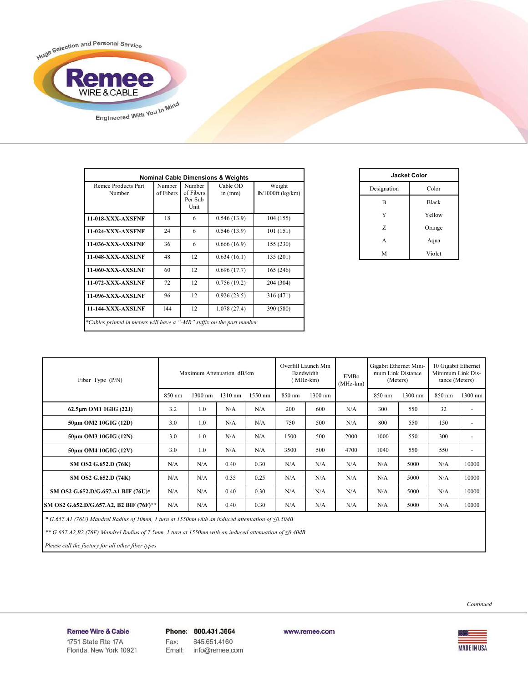

| <b>Nominal Cable Dimensions &amp; Weights</b>                          |                     |                                        |                       |                               |  |
|------------------------------------------------------------------------|---------------------|----------------------------------------|-----------------------|-------------------------------|--|
| Remee Products Part<br>Number                                          | Number<br>of Fibers | Number<br>of Fibers<br>Per Sub<br>Unit | Cable OD<br>in $(mm)$ | Weight<br>$lb/1000ft$ (kg/km) |  |
| <b>11-018-XXX-AXSFNF</b>                                               | 18                  | 6                                      | 0.546(13.9)           | 104 (155)                     |  |
| <b>11-024-XXX-AXSFNF</b>                                               | 24                  | 6                                      | 0.546(13.9)           | 101(151)                      |  |
| <b>11-036-XXX-AXSFNF</b>                                               | 36                  | 6                                      | 0.666(16.9)           | 155 (230)                     |  |
| <b>11-048-XXX-AXSLNF</b>                                               | 48                  | 12                                     | 0.634(16.1)           | 135 (201)                     |  |
| 11-060-XXX-AXSLNF                                                      | 60                  | 12                                     | 0.696(17.7)           | 165 (246)                     |  |
| 11-072-XXX-AXSLNF                                                      | 72                  | 12                                     | 0.756(19.2)           | 204 (304)                     |  |
| 11-096-XXX-AXSLNF                                                      | 96                  | 12                                     | 0.926(23.5)           | 316 (471)                     |  |
| <b>11-144-XXX-AXSLNF</b>                                               | 144                 | 12                                     | 1.078(27.4)           | 390 (580)                     |  |
| *Cables printed in meters will have a "-MR" suffix on the part number. |                     |                                        |                       |                               |  |

| <b>Jacket Color</b> |              |  |  |  |
|---------------------|--------------|--|--|--|
| Designation         | Color        |  |  |  |
| B                   | <b>Black</b> |  |  |  |
| Y                   | Yellow       |  |  |  |
| Z                   | Orange       |  |  |  |
| A                   | Aqua         |  |  |  |
| M                   | Violet       |  |  |  |

| Fiber Type $(P/N)$                      | Maximum Attenuation dB/km |                |         | Overfill Launch Min<br>Bandwidth<br>MHz-km) |        | EMBc<br>$(MHz-km)$ | Gigabit Ethernet Mini-<br>mum Link Distance<br>(Meters) |        | 10 Gigabit Ethernet<br>Minimum Link Dis-<br>tance (Meters) |        |                          |
|-----------------------------------------|---------------------------|----------------|---------|---------------------------------------------|--------|--------------------|---------------------------------------------------------|--------|------------------------------------------------------------|--------|--------------------------|
|                                         | 850 nm                    | 1300 nm        | 1310 nm | 1550 nm                                     | 850 nm | 1300 nm            |                                                         | 850 nm | 1300 nm                                                    | 850 nm | $1300$ nm                |
| $62.5\mu m$ OM1 1GIG (22J)              | 3.2                       | 1.0            | N/A     | N/A                                         | 200    | 600                | N/A                                                     | 300    | 550                                                        | 32     | ۰                        |
| 50um OM2 10GIG (12D)                    | 3.0                       | 1.0            | N/A     | N/A                                         | 750    | 500                | N/A                                                     | 800    | 550                                                        | 150    | ٠                        |
| 50um OM3 10GIG (12N)                    | 3.0                       | 1.0            | N/A     | N/A                                         | 1500   | 500                | 2000                                                    | 1000   | 550                                                        | 300    | $\overline{\phantom{a}}$ |
| 50um OM4 10GIG (12V)                    | 3.0                       | 1 <sub>0</sub> | N/A     | N/A                                         | 3500   | 500                | 4700                                                    | 1040   | 550                                                        | 550    | $\overline{\phantom{a}}$ |
| SM OS2 G.652.D (76K)                    | N/A                       | N/A            | 0.40    | 0.30                                        | N/A    | N/A                | N/A                                                     | N/A    | 5000                                                       | N/A    | 10000                    |
| SM OS2 G.652.D (74K)                    | N/A                       | N/A            | 0.35    | 0.25                                        | N/A    | N/A                | N/A                                                     | N/A    | 5000                                                       | N/A    | 10000                    |
| SM OS2 G.652.D/G.657.A1 BIF (76U)*      | N/A                       | N/A            | 0.40    | 0.30                                        | N/A    | N/A                | N/A                                                     | N/A    | 5000                                                       | N/A    | 10000                    |
| SM OS2 G.652.D/G.657.A2, B2 BIF (76F)** | N/A                       | N/A            | 0.40    | 0.30                                        | N/A    | N/A                | N/A                                                     | N/A    | 5000                                                       | N/A    | 10000                    |

 *\* G.657.A1 (76U) Mandrel Radius of 10mm, 1 turn at 1550nm with an induced attenuation of ≤0.50dB*

 *\*\* G.657.A2,B2 (76F) Mandrel Radius of 7.5mm, 1 turn at 1550nm with an induced attenuation of ≤0.40dB*

 *Please call the factory for all other fiber types*



**MADE IN USA** 

Remee Wire & Cable Issue No.: 05

Florida, New York 10921

Phone: 800.431.3864 Fax: 845.651.4160 info@remee.com Email:

www.remee.com